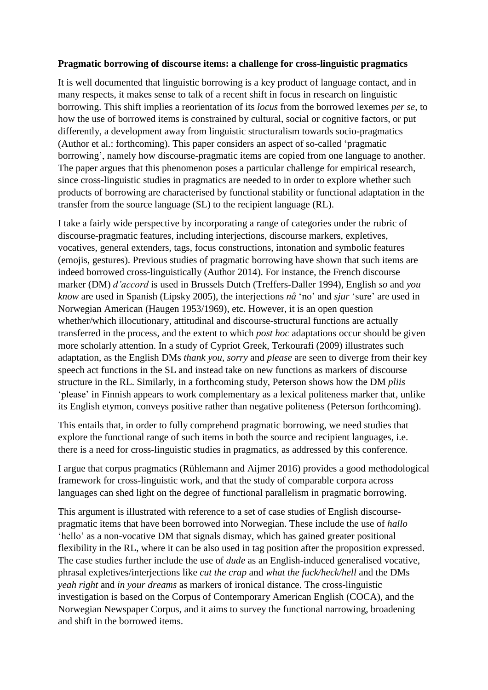## **Pragmatic borrowing of discourse items: a challenge for cross-linguistic pragmatics**

It is well documented that linguistic borrowing is a key product of language contact, and in many respects, it makes sense to talk of a recent shift in focus in research on linguistic borrowing. This shift implies a reorientation of its *locus* from the borrowed lexemes *per se*, to how the use of borrowed items is constrained by cultural, social or cognitive factors, or put differently, a development away from linguistic structuralism towards socio-pragmatics (Author et al.: forthcoming). This paper considers an aspect of so-called 'pragmatic borrowing', namely how discourse-pragmatic items are copied from one language to another. The paper argues that this phenomenon poses a particular challenge for empirical research, since cross-linguistic studies in pragmatics are needed to in order to explore whether such products of borrowing are characterised by functional stability or functional adaptation in the transfer from the source language (SL) to the recipient language (RL).

I take a fairly wide perspective by incorporating a range of categories under the rubric of discourse-pragmatic features, including interjections, discourse markers, expletives, vocatives, general extenders, tags, focus constructions, intonation and symbolic features (emojis, gestures). Previous studies of pragmatic borrowing have shown that such items are indeed borrowed cross-linguistically (Author 2014). For instance, the French discourse marker (DM) *d'accord* is used in Brussels Dutch (Treffers-Daller 1994), English *so* and *you know* are used in Spanish (Lipsky 2005), the interjections *nå* 'no' and *sjur* 'sure' are used in Norwegian American (Haugen 1953/1969), etc. However, it is an open question whether/which illocutionary, attitudinal and discourse-structural functions are actually transferred in the process, and the extent to which *post hoc* adaptations occur should be given more scholarly attention. In a study of Cypriot Greek, Terkourafi (2009) illustrates such adaptation, as the English DMs *thank you*, *sorry* and *please* are seen to diverge from their key speech act functions in the SL and instead take on new functions as markers of discourse structure in the RL. Similarly, in a forthcoming study, Peterson shows how the DM *pliis* 'please' in Finnish appears to work complementary as a lexical politeness marker that, unlike its English etymon, conveys positive rather than negative politeness (Peterson forthcoming).

This entails that, in order to fully comprehend pragmatic borrowing, we need studies that explore the functional range of such items in both the source and recipient languages, i.e. there is a need for cross-linguistic studies in pragmatics, as addressed by this conference.

I argue that corpus pragmatics (Rühlemann and Aijmer 2016) provides a good methodological framework for cross-linguistic work, and that the study of comparable corpora across languages can shed light on the degree of functional parallelism in pragmatic borrowing.

This argument is illustrated with reference to a set of case studies of English discoursepragmatic items that have been borrowed into Norwegian. These include the use of *hallo* 'hello' as a non-vocative DM that signals dismay, which has gained greater positional flexibility in the RL, where it can be also used in tag position after the proposition expressed. The case studies further include the use of *dude* as an English-induced generalised vocative, phrasal expletives/interjections like *cut the crap* and *what the fuck/heck/hell* and the DMs *yeah right* and *in your dreams* as markers of ironical distance. The cross-linguistic investigation is based on the Corpus of Contemporary American English (COCA), and the Norwegian Newspaper Corpus, and it aims to survey the functional narrowing, broadening and shift in the borrowed items.